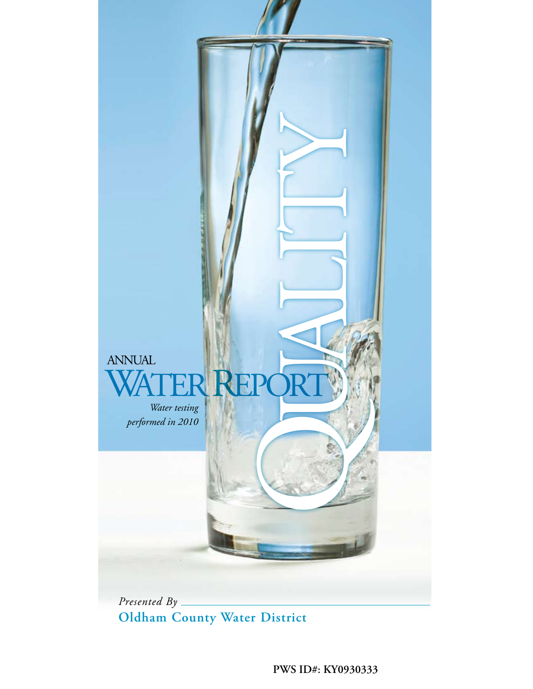

**Oldham County Water District**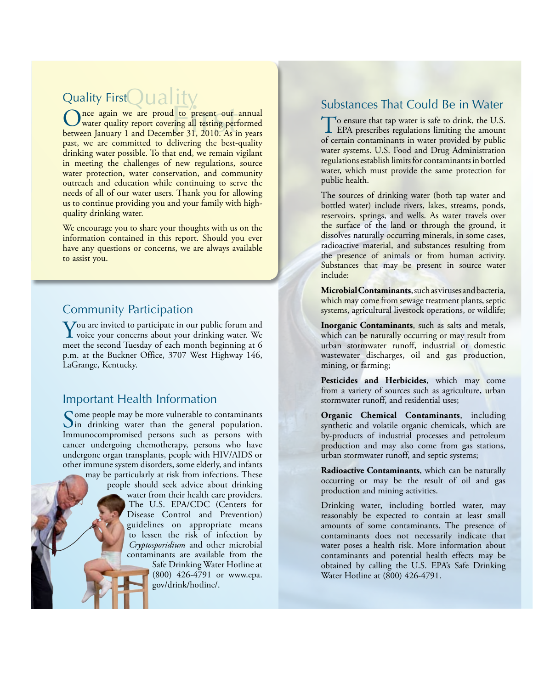# Quality FirstQuality

Once again we are proud to present our annual<br>
between January 1 and December 31, 2010. As in years water quality report covering all testing performed between January 1 and December 31, 2010. As in years past, we are committed to delivering the best-quality drinking water possible. To that end, we remain vigilant in meeting the challenges of new regulations, source water protection, water conservation, and community outreach and education while continuing to serve the needs of all of our water users. Thank you for allowing us to continue providing you and your family with highquality drinking water.

We encourage you to share your thoughts with us on the information contained in this report. Should you ever have any questions or concerns, we are always available to assist you.

# Community Participation

You are invited to participate in our public forum and<br>voice your concerns about your drinking water. We<br>meat the second Tiseday of such month horizonias at 6 meet the second Tuesday of each month beginning at 6 p.m. at the Buckner Office, 3707 West Highway 146, LaGrange, Kentucky.

#### Important Health Information

Some people may be more vulnerable to contaminants<br>In drinking water than the general population. Immunocompromised persons such as persons with cancer undergoing chemotherapy, persons who have undergone organ transplants, people with HIV/AIDS or other immune system disorders, some elderly, and infants may be particularly at risk from infections. These people should seek advice about drinking water from their health care providers. The U.S. EPA/CDC (Centers for Disease Control and Prevention) guidelines on appropriate means to lessen the risk of infection by *Cryptosporidium* and other microbial contaminants are available from the Safe Drinking Water Hotline at (800) 426-4791 or www.epa. gov/drink/hotline/.

# Substances That Could Be in Water

To ensure that tap water is safe to drink, the U.S.<br>EPA prescribes regulations limiting the amount of certain contaminants in water provided by public water systems. U.S. Food and Drug Administration regulations establish limits for contaminants in bottled water, which must provide the same protection for public health.

The sources of drinking water (both tap water and bottled water) include rivers, lakes, streams, ponds, reservoirs, springs, and wells. As water travels over the surface of the land or through the ground, it dissolves naturally occurring minerals, in some cases, radioactive material, and substances resulting from the presence of animals or from human activity. Substances that may be present in source water include:

**Microbial Contaminants**, such as viruses and bacteria, which may come from sewage treatment plants, septic systems, agricultural livestock operations, or wildlife;

**Inorganic Contaminants**, such as salts and metals, which can be naturally occurring or may result from urban stormwater runoff, industrial or domestic wastewater discharges, oil and gas production, mining, or farming;

**Pesticides and Herbicides**, which may come from a variety of sources such as agriculture, urban stormwater runoff, and residential uses;

**Organic Chemical Contaminants**, including synthetic and volatile organic chemicals, which are by-products of industrial processes and petroleum production and may also come from gas stations, urban stormwater runoff, and septic systems;

**Radioactive Contaminants**, which can be naturally occurring or may be the result of oil and gas production and mining activities.

Drinking water, including bottled water, may reasonably be expected to contain at least small amounts of some contaminants. The presence of contaminants does not necessarily indicate that water poses a health risk. More information about contaminants and potential health effects may be obtained by calling the U.S. EPA's Safe Drinking Water Hotline at (800) 426-4791.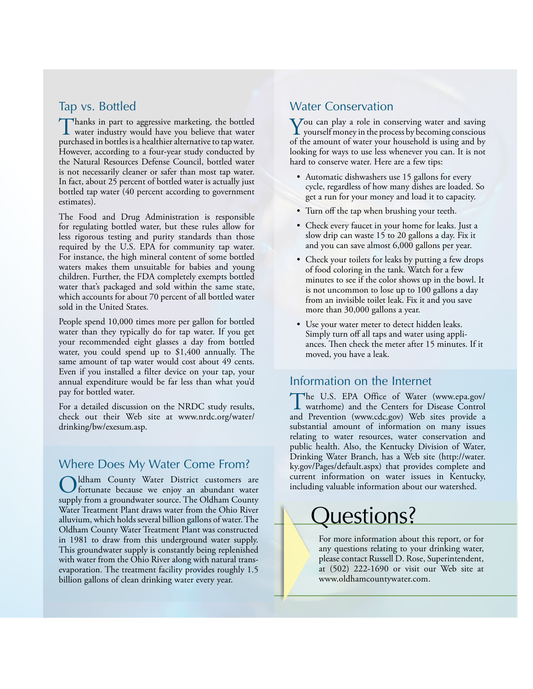#### Tap vs. Bottled

Thanks in part to aggressive marketing, the bottled<br>water industry would have you believe that water purchased in bottles is a healthier alternative to tap water. However, according to a four-year study conducted by the Natural Resources Defense Council, bottled water is not necessarily cleaner or safer than most tap water. In fact, about 25 percent of bottled water is actually just bottled tap water (40 percent according to government estimates).

The Food and Drug Administration is responsible for regulating bottled water, but these rules allow for less rigorous testing and purity standards than those required by the U.S. EPA for community tap water. For instance, the high mineral content of some bottled waters makes them unsuitable for babies and young children. Further, the FDA completely exempts bottled water that's packaged and sold within the same state, which accounts for about 70 percent of all bottled water sold in the United States.

People spend 10,000 times more per gallon for bottled water than they typically do for tap water. If you get your recommended eight glasses a day from bottled water, you could spend up to \$1,400 annually. The same amount of tap water would cost about 49 cents. Even if you installed a filter device on your tap, your annual expenditure would be far less than what you'd pay for bottled water.

For a detailed discussion on the NRDC study results, check out their Web site at www.nrdc.org/water/ drinking/bw/exesum.asp.

### Where Does My Water Come From?

Oldham County Water District customers are<br>fortunate because we enjoy an abundant water supply from a groundwater source. The Oldham County Water Treatment Plant draws water from the Ohio River alluvium, which holds several billion gallons of water. The Oldham County Water Treatment Plant was constructed in 1981 to draw from this underground water supply. This groundwater supply is constantly being replenished with water from the Ohio River along with natural transevaporation. The treatment facility provides roughly 1.5 billion gallons of clean drinking water every year.

#### Water Conservation

 $\sum$  you can play a role in conserving water and saving<br>yourself money in the process by becoming conscious<br>of the amount of mutual same benefield is using and by of the amount of water your household is using and by looking for ways to use less whenever you can. It is not hard to conserve water. Here are a few tips:

- Automatic dishwashers use 15 gallons for every cycle, regardless of how many dishes are loaded. So get a run for your money and load it to capacity.
- Turn off the tap when brushing your teeth.
- Check every faucet in your home for leaks. Just a slow drip can waste 15 to 20 gallons a day. Fix it and you can save almost 6,000 gallons per year.
- Check your toilets for leaks by putting a few drops of food coloring in the tank. Watch for a few minutes to see if the color shows up in the bowl. It is not uncommon to lose up to 100 gallons a day from an invisible toilet leak. Fix it and you save more than 30,000 gallons a year.
- Use your water meter to detect hidden leaks. Simply turn off all taps and water using appliances. Then check the meter after 15 minutes. If it moved, you have a leak.

#### Information on the Internet

The U.S. EPA Office of Water (www.epa.gov/ watrhome) and the Centers for Disease Control and Prevention (www.cdc.gov) Web sites provide a substantial amount of information on many issues relating to water resources, water conservation and public health. Also, the Kentucky Division of Water, Drinking Water Branch, has a Web site (http://water. ky.gov/Pages/default.aspx) that provides complete and current information on water issues in Kentucky, including valuable information about our watershed.

# Juestions?

For more information about this report, or for any questions relating to your drinking water, please contact Russell D. Rose, Superintendent, at (502) 222-1690 or visit our Web site at www.oldhamcountywater.com.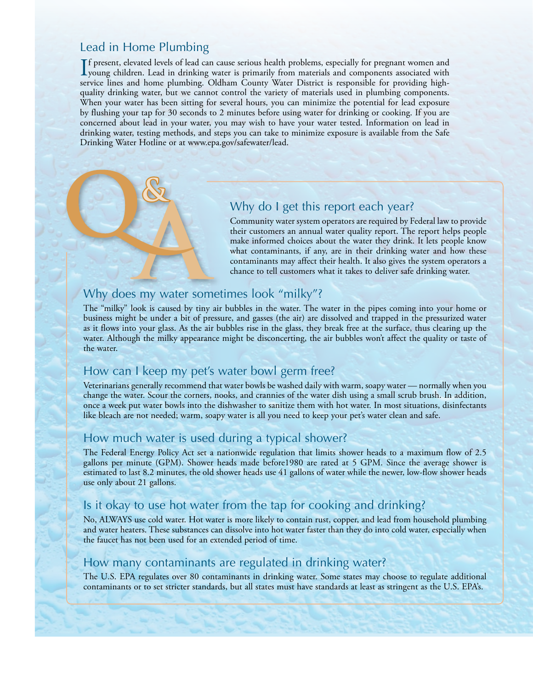### Lead in Home Plumbing

If present, elevated levels of lead can cause serious health problems, especially for pregnant women and<br>young children. Lead in drinking water is primarily from materials and components associated with<br>genericalized and h f present, elevated levels of lead can cause serious health problems, especially for pregnant women and service lines and home plumbing. Oldham County Water District is responsible for providing highquality drinking water, but we cannot control the variety of materials used in plumbing components. When your water has been sitting for several hours, you can minimize the potential for lead exposure by flushing your tap for 30 seconds to 2 minutes before using water for drinking or cooking. If you are concerned about lead in your water, you may wish to have your water tested. Information on lead in drinking water, testing methods, and steps you can take to minimize exposure is available from the Safe Drinking Water Hotline or at www.epa.gov/safewater/lead.

# Why do I get this report each year?

Community water system operators are required by Federal law to provide their customers an annual water quality report. The report helps people make informed choices about the water they drink. It lets people know what contaminants, if any, are in their drinking water and how these contaminants may affect their health. It also gives the system operators a chance to tell customers what it takes to deliver safe drinking water.

#### Why does my water sometimes look "milky"?

The "milky" look is caused by tiny air bubbles in the water. The water in the pipes coming into your home or business might be under a bit of pressure, and gasses (the air) are dissolved and trapped in the pressurized water as it flows into your glass. As the air bubbles rise in the glass, they break free at the surface, thus clearing up the water. Although the milky appearance might be disconcerting, the air bubbles won't affect the quality or taste of the water.

### How can I keep my pet's water bowl germ free?

Veterinarians generally recommend that water bowls be washed daily with warm, soapy water — normally when you change the water. Scour the corners, nooks, and crannies of the water dish using a small scrub brush. In addition, once a week put water bowls into the dishwasher to sanitize them with hot water. In most situations, disinfectants like bleach are not needed; warm, soapy water is all you need to keep your pet's water clean and safe.

#### How much water is used during a typical shower?

The Federal Energy Policy Act set a nationwide regulation that limits shower heads to a maximum flow of 2.5 gallons per minute (GPM). Shower heads made before1980 are rated at 5 GPM. Since the average shower is estimated to last 8.2 minutes, the old shower heads use 41 gallons of water while the newer, low-flow shower heads use only about 21 gallons.

## Is it okay to use hot water from the tap for cooking and drinking?

No, ALWAYS use cold water. Hot water is more likely to contain rust, copper, and lead from household plumbing and water heaters. These substances can dissolve into hot water faster than they do into cold water, especially when the faucet has not been used for an extended period of time.

#### How many contaminants are regulated in drinking water?

The U.S. EPA regulates over 80 contaminants in drinking water. Some states may choose to regulate additional contaminants or to set stricter standards, but all states must have standards at least as stringent as the U.S. EPA's.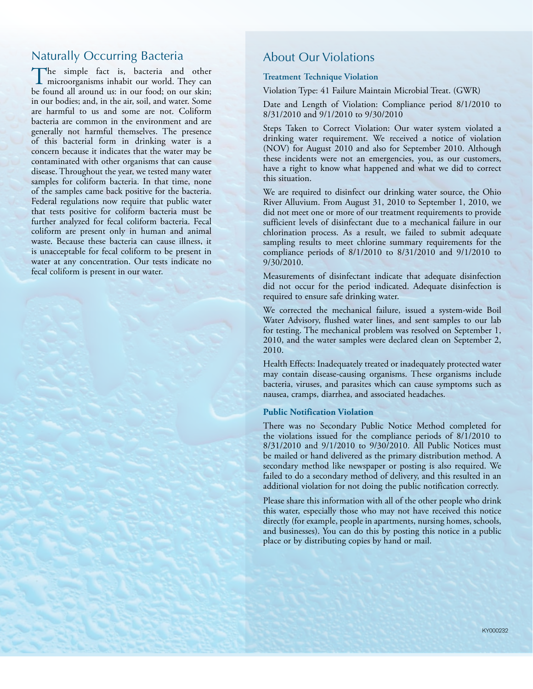### Naturally Occurring Bacteria

The simple fact is, bacteria and other microorganisms inhabit our world. They can be found all around us: in our food; on our skin; in our bodies; and, in the air, soil, and water. Some are harmful to us and some are not. Coliform bacteria are common in the environment and are generally not harmful themselves. The presence of this bacterial form in drinking water is a concern because it indicates that the water may be contaminated with other organisms that can cause disease. Throughout the year, we tested many water samples for coliform bacteria. In that time, none of the samples came back positive for the bacteria. Federal regulations now require that public water that tests positive for coliform bacteria must be further analyzed for fecal coliform bacteria. Fecal coliform are present only in human and animal waste. Because these bacteria can cause illness, it is unacceptable for fecal coliform to be present in water at any concentration. Our tests indicate no fecal coliform is present in our water.

#### About Our Violations

#### **Treatment Technique Violation**

Violation Type: 41 Failure Maintain Microbial Treat. (GWR)

Date and Length of Violation: Compliance period 8/1/2010 to 8/31/2010 and 9/1/2010 to 9/30/2010

Steps Taken to Correct Violation: Our water system violated a drinking water requirement. We received a notice of violation (NOV) for August 2010 and also for September 2010. Although these incidents were not an emergencies, you, as our customers, have a right to know what happened and what we did to correct this situation.

We are required to disinfect our drinking water source, the Ohio River Alluvium. From August 31, 2010 to September 1, 2010, we did not meet one or more of our treatment requirements to provide sufficient levels of disinfectant due to a mechanical failure in our chlorination process. As a result, we failed to submit adequate sampling results to meet chlorine summary requirements for the compliance periods of 8/1/2010 to 8/31/2010 and 9/1/2010 to 9/30/2010.

Measurements of disinfectant indicate that adequate disinfection did not occur for the period indicated. Adequate disinfection is required to ensure safe drinking water.

We corrected the mechanical failure, issued a system-wide Boil Water Advisory, flushed water lines, and sent samples to our lab for testing. The mechanical problem was resolved on September 1, 2010, and the water samples were declared clean on September 2, 2010.

Health Effects: Inadequately treated or inadequately protected water may contain disease-causing organisms. These organisms include bacteria, viruses, and parasites which can cause symptoms such as nausea, cramps, diarrhea, and associated headaches.

#### **Public Notification Violation**

There was no Secondary Public Notice Method completed for the violations issued for the compliance periods of 8/1/2010 to 8/31/2010 and 9/1/2010 to 9/30/2010. All Public Notices must be mailed or hand delivered as the primary distribution method. A secondary method like newspaper or posting is also required. We failed to do a secondary method of delivery, and this resulted in an additional violation for not doing the public notification correctly.

Please share this information with all of the other people who drink this water, especially those who may not have received this notice directly (for example, people in apartments, nursing homes, schools, and businesses). You can do this by posting this notice in a public place or by distributing copies by hand or mail.